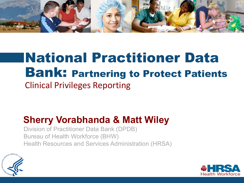

## National Practitioner Data Bank: Partnering to Protect Patients Clinical Privileges Reporting

#### **Sherry Vorabhanda & Matt Wiley**

Division of Practitioner Data Bank (DPDB) Bureau of Health Workforce (BHW) Health Resources and Services Administration (HRSA)



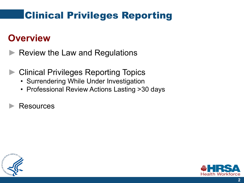#### **Overview**

- Review the Law and Regulations
- ► Clinical Privileges Reporting Topics
	- Surrendering While Under Investigation
	- Professional Review Actions Lasting >30 days
	- ► Resources



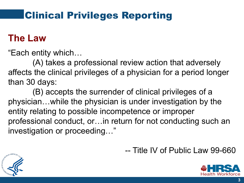#### **The Law**

"Each entity which…

(A) takes a professional review action that adversely affects the clinical privileges of a physician for a period longer than 30 days:

(B) accepts the surrender of clinical privileges of a physician…while the physician is under investigation by the entity relating to possible incompetence or improper professional conduct, or…in return for not conducting such an investigation or proceeding…"



-- Title IV of Public Law 99-660

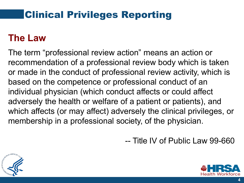#### **The Law**

The term "professional review action" means an action or recommendation of a professional review body which is taken or made in the conduct of professional review activity, which is based on the competence or professional conduct of an individual physician (which conduct affects or could affect adversely the health or welfare of a patient or patients), and which affects (or may affect) adversely the clinical privileges, or membership in a professional society, of the physician.

-- Title IV of Public Law 99-660



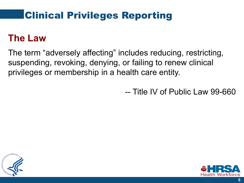#### **The Law**

The term "adversely affecting" includes reducing, restricting, suspending, revoking, denying, or failing to renew clinical privileges or membership in a health care entity.

-- Title IV of Public Law 99-660



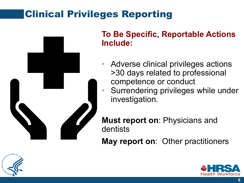

#### **To Be Specific, Reportable Actions Include:**

- Adverse clinical privileges actions >30 days related to professional
	- competence or conduct
- Surrendering privileges while under investigation.

**Must report on**: Physicians and dentists

**May report on**: Other practitioners



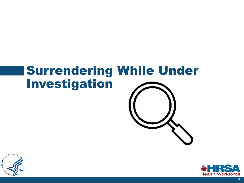# Surrendering While Under Investigation





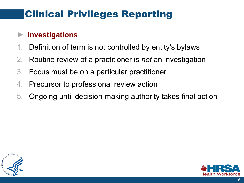#### ► **Investigations**

- 1. Definition of term is not controlled by entity's bylaws
- 2. Routine review of a practitioner is *not* an investigation
- 3. Focus must be on a particular practitioner
- 4. Precursor to professional review action
- 5. Ongoing until decision-making authority takes final action



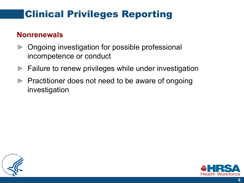#### **Nonrenewals**

- ► Ongoing investigation for possible professional incompetence or conduct
- ► Failure to renew privileges while under investigation
- Practitioner does not need to be aware of ongoing investigation



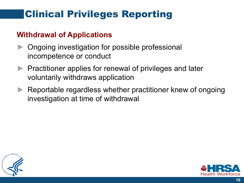#### **Withdrawal of Applications**

- Ongoing investigation for possible professional incompetence or conduct
- ▶ Practitioner applies for renewal of privileges and later voluntarily withdraws application
- Reportable regardless whether practitioner knew of ongoing investigation at time of withdrawal



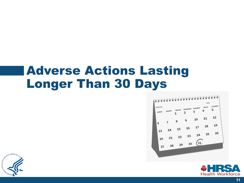## Adverse Actions Lasting Longer Than 30 Days





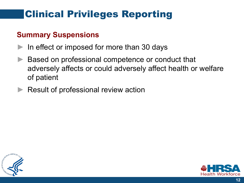#### **Summary Suspensions**

- $\blacktriangleright$  In effect or imposed for more than 30 days
- Based on professional competence or conduct that adversely affects or could adversely affect health or welfare of patient
- Result of professional review action



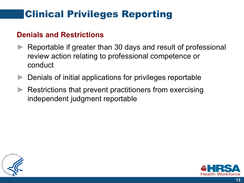#### **Denials and Restrictions**

- Reportable if greater than 30 days and result of professional review action relating to professional competence or conduct
- ► Denials of initial applications for privileges reportable
- Restrictions that prevent practitioners from exercising independent judgment reportable



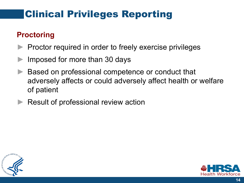#### **Proctoring**

- ► Proctor required in order to freely exercise privileges
- Imposed for more than 30 days
- Based on professional competence or conduct that adversely affects or could adversely affect health or welfare of patient
- Result of professional review action



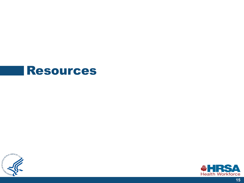